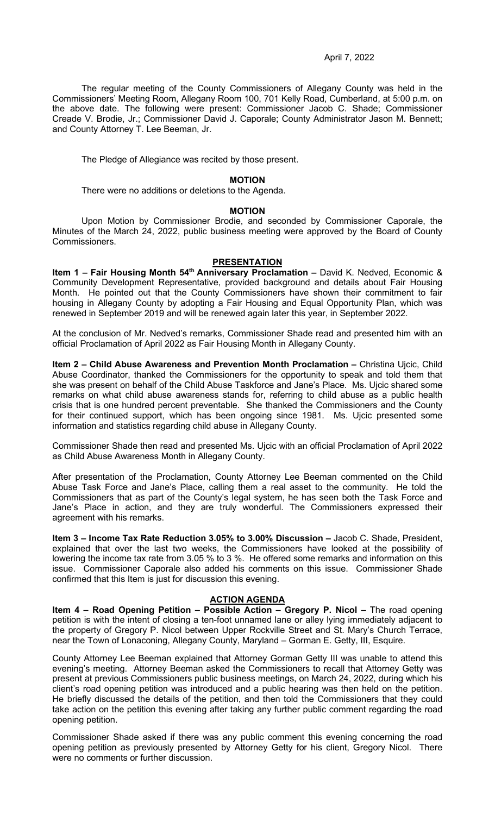# April 7, 2022

The regular meeting of the County Commissioners of Allegany County was held in the Commissioners' Meeting Room, Allegany Room 100, 701 Kelly Road, Cumberland, at 5:00 p.m. on the above date. The following were present: Commissioner Jacob C. Shade; Commissioner Creade V. Brodie, Jr.; Commissioner David J. Caporale; County Administrator Jason M. Bennett; and County Attorney T. Lee Beeman, Jr.

The Pledge of Allegiance was recited by those present.

# **MOTION**

There were no additions or deletions to the Agenda.

# **MOTION**

Upon Motion by Commissioner Brodie, and seconded by Commissioner Caporale, the Minutes of the March 24, 2022, public business meeting were approved by the Board of County Commissioners.

# **PRESENTATION**

**Item 1 – Fair Housing Month 54<sup>th</sup> Anniversary Proclamation –** David K. Nedved, Economic & Community Development Representative, provided background and details about Fair Housing Month. He pointed out that the County Commissioners have shown their commitment to fair housing in Allegany County by adopting a Fair Housing and Equal Opportunity Plan, which was renewed in September 2019 and will be renewed again later this year, in September 2022.

At the conclusion of Mr. Nedved's remarks, Commissioner Shade read and presented him with an official Proclamation of April 2022 as Fair Housing Month in Allegany County.

**Item 2 - Child Abuse Awareness and Prevention Month Proclamation - Christina Ujcic, Child** Abuse Coordinator, thanked the Commissioners for the opportunity to speak and told them that she was present on behalf of the Child Abuse Taskforce and Jane's Place. Ms. Ujcic shared some remarks on what child abuse awareness stands for, referring to child abuse as a public health crisis that is one hundred percent preventable. She thanked the Commissioners and the County for their continued support, which has been ongoing since 1981. Ms. Ujcic presented some information and statistics regarding child abuse in Allegany County.

Commissioner Shade then read and presented Ms. Ujcic with an official Proclamation of April 2022 as Child Abuse Awareness Month in Allegany County.

After presentation of the Proclamation, County Attorney Lee Beeman commented on the Child Abuse Task Force and Jane's Place, calling them a real asset to the community. He told the Commissioners that as part of the County's legal system, he has seen both the Task Force and Jane's Place in action, and they are truly wonderful. The Commissioners expressed their agreement with his remarks.

**Item 3 – Income Tax Rate Reduction 3.05% to 3.00% Discussion –** Jacob C. Shade, President, explained that over the last two weeks, the Commissioners have looked at the possibility of lowering the income tax rate from 3.05 % to 3 %. He offered some remarks and information on this issue. Commissioner Caporale also added his comments on this issue. Commissioner Shade confirmed that this Item is just for discussion this evening.

# **ACTION AGENDA**

**Item 4 – Road Opening Petition – Possible Action – Gregory P. Nicol –** The road opening petition is with the intent of closing a ten-foot unnamed lane or alley lying immediately adjacent to the property of Gregory P. Nicol between Upper Rockville Street and St. Mary's Church Terrace, near the Town of Lonaconing, Allegany County, Maryland – Gorman E. Getty, III, Esquire.

County Attorney Lee Beeman explained that Attorney Gorman Getty III was unable to attend this evening's meeting. Attorney Beeman asked the Commissioners to recall that Attorney Getty was present at previous Commissioners public business meetings, on March 24, 2022, during which his client's road opening petition was introduced and a public hearing was then held on the petition. He briefly discussed the details of the petition, and then told the Commissioners that they could take action on the petition this evening after taking any further public comment regarding the road opening petition.

Commissioner Shade asked if there was any public comment this evening concerning the road opening petition as previously presented by Attorney Getty for his client, Gregory Nicol. There were no comments or further discussion.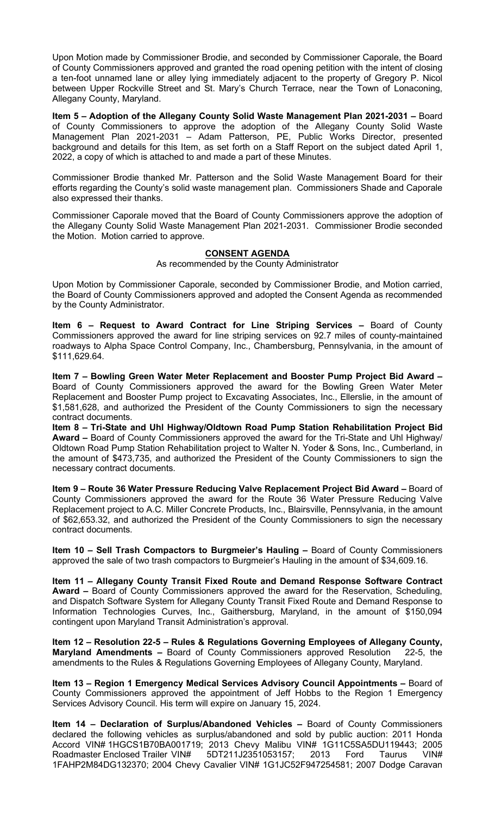Upon Motion made by Commissioner Brodie, and seconded by Commissioner Caporale, the Board of County Commissioners approved and granted the road opening petition with the intent of closing a ten-foot unnamed lane or alley lying immediately adjacent to the property of Gregory P. Nicol between Upper Rockville Street and St. Mary's Church Terrace, near the Town of Lonaconing, Allegany County, Maryland.

**Item 5 – Adoption of the Allegany County Solid Waste Management Plan 2021-2031 –** Board of County Commissioners to approve the adoption of the Allegany County Solid Waste Management Plan 2021-2031 – Adam Patterson, PE, Public Works Director, presented background and details for this Item, as set forth on a Staff Report on the subject dated April 1, 2022, a copy of which is attached to and made a part of these Minutes.

Commissioner Brodie thanked Mr. Patterson and the Solid Waste Management Board for their efforts regarding the County's solid waste management plan. Commissioners Shade and Caporale also expressed their thanks.

Commissioner Caporale moved that the Board of County Commissioners approve the adoption of the Allegany County Solid Waste Management Plan 2021-2031. Commissioner Brodie seconded the Motion. Motion carried to approve.

# **CONSENT AGENDA**

As recommended by the County Administrator

Upon Motion by Commissioner Caporale, seconded by Commissioner Brodie, and Motion carried, the Board of County Commissioners approved and adopted the Consent Agenda as recommended by the County Administrator.

**Item 6 – Request to Award Contract for Line Striping Services –** Board of County Commissioners approved the award for line striping services on 92.7 miles of county-maintained roadways to Alpha Space Control Company, Inc., Chambersburg, Pennsylvania, in the amount of \$111,629.64.

**Item 7 – Bowling Green Water Meter Replacement and Booster Pump Project Bid Award –**  Board of County Commissioners approved the award for the Bowling Green Water Meter Replacement and Booster Pump project to Excavating Associates, Inc., Ellerslie, in the amount of \$1,581,628, and authorized the President of the County Commissioners to sign the necessary contract documents.

**Item 8 – Tri-State and Uhl Highway/Oldtown Road Pump Station Rehabilitation Project Bid Award –** Board of County Commissioners approved the award for the Tri-State and Uhl Highway/ Oldtown Road Pump Station Rehabilitation project to Walter N. Yoder & Sons, Inc., Cumberland, in the amount of \$473,735, and authorized the President of the County Commissioners to sign the necessary contract documents.

**Item 9 - Route 36 Water Pressure Reducing Valve Replacement Project Bid Award - Board of** County Commissioners approved the award for the Route 36 Water Pressure Reducing Valve Replacement project to A.C. Miller Concrete Products, Inc., Blairsville, Pennsylvania, in the amount of \$62,653.32, and authorized the President of the County Commissioners to sign the necessary contract documents.

**Item 10 – Sell Trash Compactors to Burgmeier's Hauling –** Board of County Commissioners approved the sale of two trash compactors to Burgmeier's Hauling in the amount of \$34,609.16.

**Item 11 – Allegany County Transit Fixed Route and Demand Response Software Contract Award –** Board of County Commissioners approved the award for the Reservation, Scheduling, and Dispatch Software System for Allegany County Transit Fixed Route and Demand Response to Information Technologies Curves, Inc., Gaithersburg, Maryland, in the amount of \$150,094 contingent upon Maryland Transit Administration's approval.

**Item 12 – Resolution 22-5 – Rules & Regulations Governing Employees of Allegany County, Maryland Amendments –** Board of County Commissioners approved Resolution 22-5, the amendments to the Rules & Regulations Governing Employees of Allegany County, Maryland.

**Item 13 – Region 1 Emergency Medical Services Advisory Council Appointments –** Board of County Commissioners approved the appointment of Jeff Hobbs to the Region 1 Emergency Services Advisory Council. His term will expire on January 15, 2024.

**Item 14 – Declaration of Surplus/Abandoned Vehicles –** Board of County Commissioners declared the following vehicles as surplus/abandoned and sold by public auction: 2011 Honda Accord VIN# 1HGCS1B70BA001719; 2013 Chevy Malibu VIN# 1G11C5SA5DU119443; 2005<br>Roadmaster Enclosed Trailer VIN# 5DT211J2351053157; 2013 Ford Taurus VIN# Roadmaster Enclosed Trailer VIN# 5DT211J2351053157; 2013 Ford Taurus VIN# 1FAHP2M84DG132370; 2004 Chevy Cavalier VIN# 1G1JC52F947254581; 2007 Dodge Caravan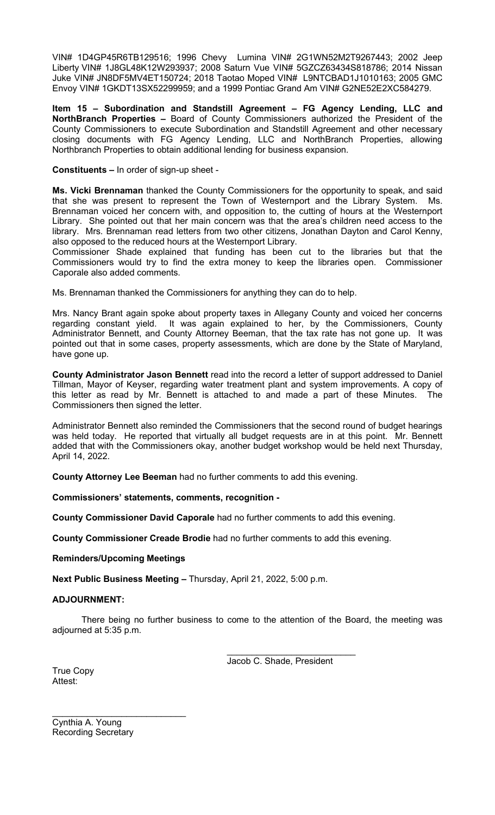VIN# 1D4GP45R6TB129516; 1996 Chevy Lumina VIN# 2G1WN52M2T9267443; 2002 Jeep Liberty VIN# 1J8GL48K12W293937; 2008 Saturn Vue VIN# 5GZCZ63434S818786; 2014 Nissan Juke VIN# JN8DF5MV4ET150724; 2018 Taotao Moped VIN# L9NTCBAD1J1010163; 2005 GMC Envoy VIN# 1GKDT13SX52299959; and a 1999 Pontiac Grand Am VIN# G2NE52E2XC584279.

**Item 15 – Subordination and Standstill Agreement – FG Agency Lending, LLC and NorthBranch Properties –** Board of County Commissioners authorized the President of the County Commissioners to execute Subordination and Standstill Agreement and other necessary closing documents with FG Agency Lending, LLC and NorthBranch Properties, allowing Northbranch Properties to obtain additional lending for business expansion.

**Constituents –** In order of sign-up sheet -

**Ms. Vicki Brennaman** thanked the County Commissioners for the opportunity to speak, and said that she was present to represent the Town of Westernport and the Library System. Ms. Brennaman voiced her concern with, and opposition to, the cutting of hours at the Westernport Library. She pointed out that her main concern was that the area's children need access to the library. Mrs. Brennaman read letters from two other citizens, Jonathan Dayton and Carol Kenny, also opposed to the reduced hours at the Westernport Library.

Commissioner Shade explained that funding has been cut to the libraries but that the Commissioners would try to find the extra money to keep the libraries open. Commissioner Caporale also added comments.

Ms. Brennaman thanked the Commissioners for anything they can do to help.

Mrs. Nancy Brant again spoke about property taxes in Allegany County and voiced her concerns regarding constant yield. It was again explained to her, by the Commissioners, County Administrator Bennett, and County Attorney Beeman, that the tax rate has not gone up. It was pointed out that in some cases, property assessments, which are done by the State of Maryland, have gone up.

**County Administrator Jason Bennett** read into the record a letter of support addressed to Daniel Tillman, Mayor of Keyser, regarding water treatment plant and system improvements. A copy of this letter as read by Mr. Bennett is attached to and made a part of these Minutes. The Commissioners then signed the letter.

Administrator Bennett also reminded the Commissioners that the second round of budget hearings was held today. He reported that virtually all budget requests are in at this point. Mr. Bennett added that with the Commissioners okay, another budget workshop would be held next Thursday, April 14, 2022.

**County Attorney Lee Beeman** had no further comments to add this evening.

**Commissioners' statements, comments, recognition -**

**County Commissioner David Caporale** had no further comments to add this evening.

**County Commissioner Creade Brodie** had no further comments to add this evening.

**Reminders/Upcoming Meetings**

**Next Public Business Meeting –** Thursday, April 21, 2022, 5:00 p.m.

# **ADJOURNMENT:**

There being no further business to come to the attention of the Board, the meeting was adjourned at 5:35 p.m.

> \_\_\_\_\_\_\_\_\_\_\_\_\_\_\_\_\_\_\_\_\_\_\_\_\_\_ Jacob C. Shade, President

True Copy Attest:

Cynthia A. Young Recording Secretary

 $\overline{\phantom{a}}$  , which is a set of the set of the set of the set of the set of the set of the set of the set of the set of the set of the set of the set of the set of the set of the set of the set of the set of the set of th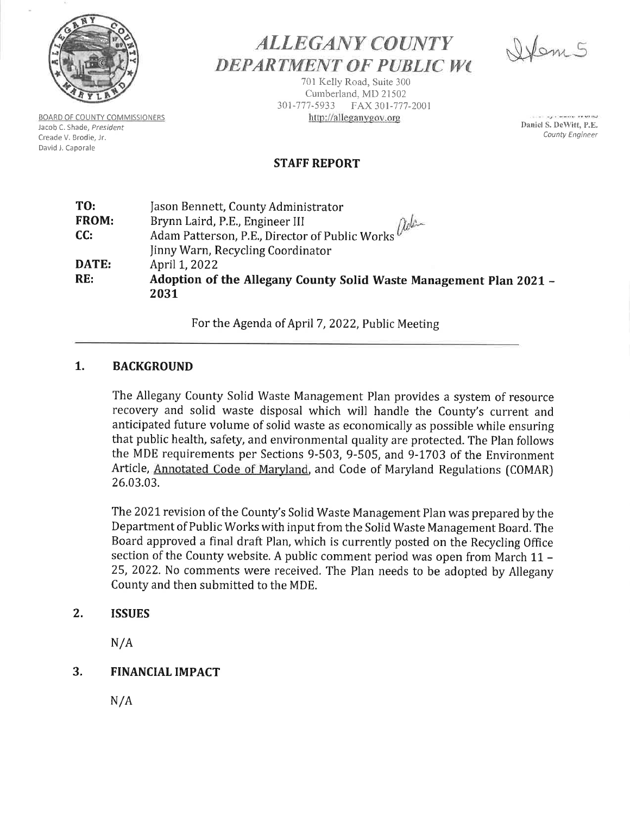

**BOARD OF COUNTY COMMISSIONERS** Jacob C. Shade, President Creade V. Brodie, Jr. David J. Caporale

# **ALLEGANY COUNTY DEPARTMENT OF PUBLIC WC**

701 Kelly Road, Suite 300 Cumberland, MD 21502 301-777-5933 FAX 301-777-2001 http://alleganygov.org

Stem 5

THE R. P. LEWIS CO., LANSING MICH. Daniel S. DeWitt, P.E. County Engineer

# **STAFF REPORT**

| TO:   | Jason Bennett, County Administrator                                                        |
|-------|--------------------------------------------------------------------------------------------|
| FROM: | Brynn Laird, P.E., Engineer III                                                            |
| CC:   | Adam Patterson, P.E., Director of Public Works ( <i>follow</i> )<br>nny Warn, Requesting C |
|       | Jinny Warn, Recycling Coordinator                                                          |
| DATE: | April 1, 2022                                                                              |
| RE:   | Adoption of the Allegany County Solid Waste Management Plan 2021 -<br>2031                 |

For the Agenda of April 7, 2022, Public Meeting

#### 1. **BACKGROUND**

The Allegany County Solid Waste Management Plan provides a system of resource recovery and solid waste disposal which will handle the County's current and anticipated future volume of solid waste as economically as possible while ensuring that public health, safety, and environmental quality are protected. The Plan follows the MDE requirements per Sections 9-503, 9-505, and 9-1703 of the Environment Article, Annotated Code of Maryland, and Code of Maryland Regulations (COMAR) 26.03.03.

The 2021 revision of the County's Solid Waste Management Plan was prepared by the Department of Public Works with input from the Solid Waste Management Board. The Board approved a final draft Plan, which is currently posted on the Recycling Office section of the County website. A public comment period was open from March 11 -25, 2022. No comments were received. The Plan needs to be adopted by Allegany County and then submitted to the MDE.

#### $2.$ **ISSUES**

 $N/A$ 

#### $\mathbf{3}$ . **FINANCIAL IMPACT**

 $N/A$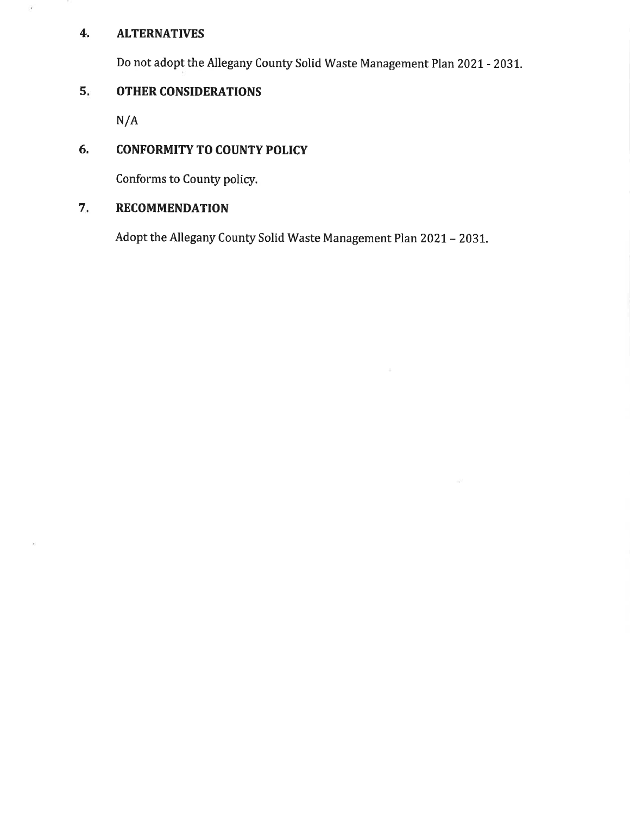#### $\mathbf{4}$ **ALTERNATIVES**

g.

Do not adopt the Allegany County Solid Waste Management Plan 2021 - 2031.

#### $5.$ **OTHER CONSIDERATIONS**

 $N/A$ 

#### 6. **CONFORMITY TO COUNTY POLICY**

Conforms to County policy.

#### 7. **RECOMMENDATION**

Adopt the Allegany County Solid Waste Management Plan 2021 - 2031.